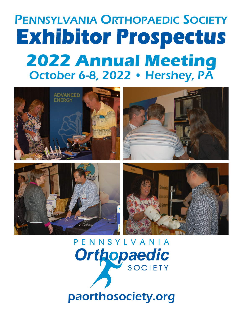# PENNSYLVANIA ORTHOPAEDIC SOCIETY **Exhibitor Prospectus 2022 Annual Meeting** October 6-8, 2022 • Hershey, PA



PENNSYLVANIA **Orthopaedic SOCIETY** 

## paorthosociety.org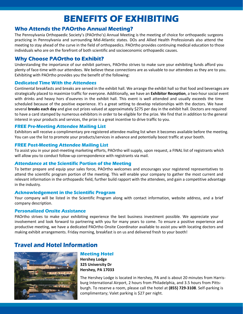## **BENEFITS OF EXHIBITING**

#### **Who Attends the PAOrtho Annual Meeting?**

The Pennsylvania Orthopaedic Society's (PAOrtho's) Annual Meeting is the meeting of choice for orthopaedic surgeons practicing in Pennsylvania and surrounding Mid-Atlantic states. DOs and Allied Health Professionals also attend the meeting to stay ahead of the curve in the field of orthopaedics. PAOrtho provides continuing medical education to those individuals who are on the forefront of both scientific and socioeconomic orthopaedic causes.

#### **Why Choose PAOrtho to Exhibit?**

Understanding the importance of our exhibit partners, PAOrtho strives to make sure your exhibiting funds afford you plenty of face-time with our attendees. We believe these connections are as valuable to our attendees as they are to you. Exhibiting with PAOrtho provides you the benefit of the following:

#### **Dedicated Time With the Attendees**

Continental breakfasts and breaks are served in the exhibit hall. We arrange the exhibit hall so that food and beverages are strategically placed to maximize traffic for everyone. Additionally, we have an **Exhibitor Reception**, a two-hour social event with drinks and heavy hors d'ouevres in the exhibit hall. This event is well attended and usually exceeds the time scheduled because of the positive experience. It's a great setting to develop relationships with the doctors. We have several **breaks each day** and give out prizes valued at approximately \$275 per day in the exhibit hall. Doctors are required to have a card stamped by numerous exhibitors in order to be eligible for the prize. We find that in addition to the general interest in your products and services, the prize is a great incentive to drive traffic to you.

#### **FREE Pre-Meeting Attendee Mailing List**

Exhibitors will receive a complimentary pre-registered attendee mailing list when it becomes available before the meeting. You can use the list to promote your products/services in advance and potentially boost traffic at your booth.

#### **FREE Post-Meeting Attendee Mailing List**

To assist you in your post-meeting marketing efforts, PAOrtho will supply, upon request, a FINAL list of registrants which will allow you to conduct follow-up correspondence with registrants via mail.

#### **Attendance at the Scientific Portion of the Meeting**

To better prepare and equip your sales force, PAOrtho welcomes and encourages your registered representatives to attend the scientific program portion of the meeting. This will enable your company to gather the most current and relevant information in the orthopaedic field, further build rapport with the attendees, and gain a competitive advantage in the industry.

#### **Acknowledgement in the Scientific Program**

Your company will be listed in the Scientific Program along with contact information, website address, and a brief company description.

#### **Personalized Onsite Assistance**

PAOrtho strives to make your exhibiting experience the best business investment possible. We appreciate your involvement and look forward to partnering with you for many years to come. To ensure a positive experience and productive meeting, we have a dedicated PAOrtho Onsite Coordinator available to assist you with locating doctors and making exhibit arrangements. Friday morning, breakfast is on us and delivered fresh to your booth!

#### **Travel and Hotel Information**



**Meeting Hotel Hershey Lodge 325 University Dr Hershey, PA 17033**

The Hershey Lodge is located in Hershey, PA and is about 20 minutes from Harrisburg International Airport, 2 hours from Philadelphia, and 3.5 hours from Pittsburgh. To reserve a room, please call the hotel at **(855) 729-3108**. Self-parking is complimentary; Valet parking is \$27 per night.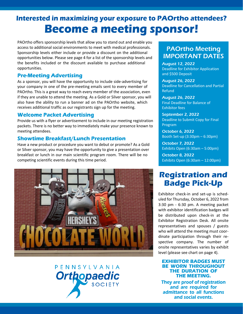## **Interested in maximizing your exposure to PAOrtho attendees? Become a meeting sponsor!**

PAOrtho offers sponsorship levels that allow you to stand out and enable you access to additional social environments to meet with medical professionals. Sponsorship levels either include or provide a discount on the additional opportunities below. Please see page 4 for a list of the sponsorship levels and the benefits included or the discount available to purchase additional opportunities.

#### **Pre-Meeting Advertising**

As a sponsor, you will have the opportunity to include side-advertising for your company in one of the pre-meeting emails sent to every member of PAOrtho. This is a great way to reach every member of the association, even if they are unable to attend the meeting. As a Gold or Silver sponsor, you will also have the ability to run a banner ad on the PAOrtho website, which receives additional traffic as our registrants sign up for the meeting.

#### **Welcome Packet Advertising**

Provide us with a flyer or advertisement to include in our meeting registration packets. There is no better way to immediately make your presence known to meeting attendees.

#### **Showtime Breakfast/Lunch Presentation**

Have a new product or procedure you want to debut or promote? As a Gold or Silver sponsor, you may have the opportunity to give a presentation over breakfast or lunch in our main scientific program room. There will be no competing scientific events during this time period.



## **PFNNSYIVANIA Orthopaedic** SOCIETY

#### PAOrtho Meeting IMPORTANT DATES

August 12, 2022 Deadline for Exhibitor Application and \$500 Deposit

August 26, 2022 Deadline for Cancellation and Partial Refund

August 26, 2022 Final Deadline for Balance of Exhibitor fees

September 2, 2022 Deadline to Submit Copy for Final Program

October 6, 2022 Booth Set-up (3:30pm – 6:30pm)

October 7, 2022 Exhibits Open (6:30am – 5:00pm)

October 8, 2022 Exhibits Open (6:30am – 12:00pm)

### **Registration and Badge Pick-Up**

Exhibitor check-in and set-up is scheduled for Thursday, October 6, 2022 from 3:30 pm - 6:30 pm. A meeting packet with exhibitor identification badges will be distributed upon check-in at the Exhibitor Registration Desk. All onsite representatives and spouses / guests who will attend the meeting must coordinate participation through their respective company. The number of onsite representatives varies by exhibit level (please see chart on page 4).

#### **EXHIBITOR BADGES MUST BE WORN THROUGHOUT THE DURATION OF THE MEETING.**

They are proof of registration and are required for admittance to all functions and social events.